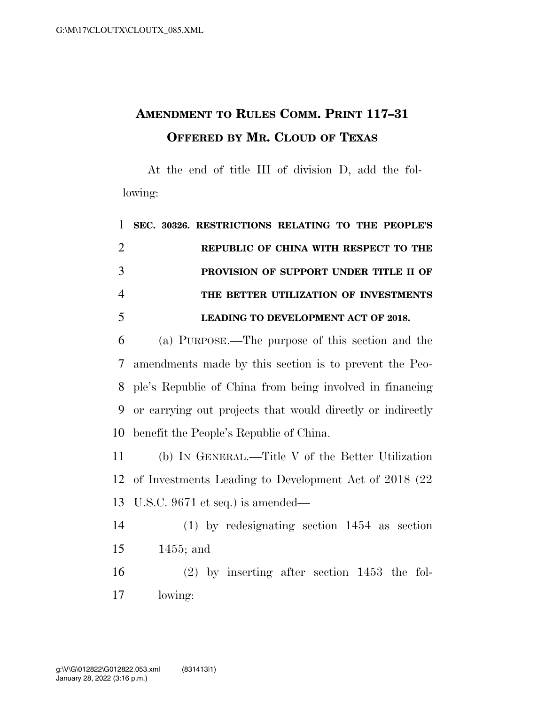## **AMENDMENT TO RULES COMM. PRINT 117–31 OFFERED BY MR. CLOUD OF TEXAS**

At the end of title III of division D, add the following:

|                | 1 SEC. 30326. RESTRICTIONS RELATING TO THE PEOPLE'S |
|----------------|-----------------------------------------------------|
| 2              | REPUBLIC OF CHINA WITH RESPECT TO THE               |
| 3              | PROVISION OF SUPPORT UNDER TITLE II OF              |
| $\overline{4}$ | THE BETTER UTILIZATION OF INVESTMENTS               |
| 5              | <b>LEADING TO DEVELOPMENT ACT OF 2018.</b>          |

 (a) PURPOSE.—The purpose of this section and the amendments made by this section is to prevent the Peo- ple's Republic of China from being involved in financing or carrying out projects that would directly or indirectly benefit the People's Republic of China.

 (b) IN GENERAL.—Title V of the Better Utilization of Investments Leading to Development Act of 2018 (22 U.S.C. 9671 et seq.) is amended—

 (1) by redesignating section 1454 as section 1455; and

 (2) by inserting after section 1453 the fol-lowing: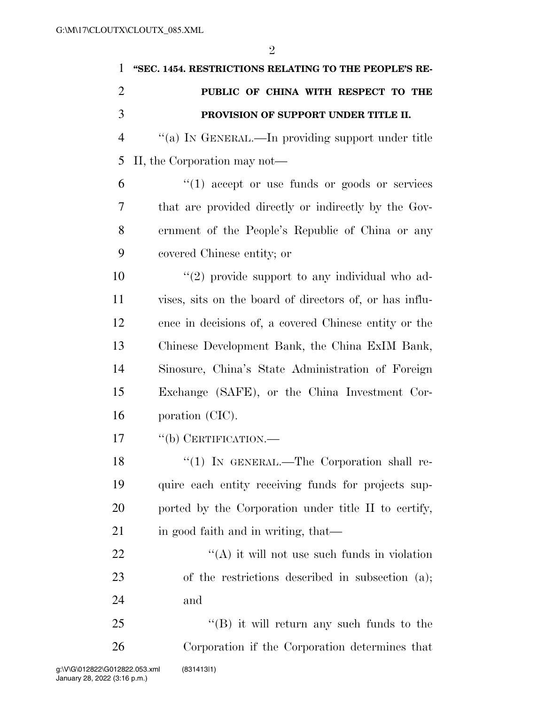| 1              | "SEC. 1454. RESTRICTIONS RELATING TO THE PEOPLE'S RE-   |
|----------------|---------------------------------------------------------|
| $\overline{2}$ | PUBLIC OF CHINA WITH RESPECT TO THE                     |
| 3              | PROVISION OF SUPPORT UNDER TITLE II.                    |
| $\overline{4}$ | "(a) IN GENERAL.—In providing support under title       |
| 5              | II, the Corporation may not—                            |
| 6              | $\lq(1)$ accept or use funds or goods or services       |
| 7              | that are provided directly or indirectly by the Gov-    |
| 8              | ernment of the People's Republic of China or any        |
| 9              | covered Chinese entity; or                              |
| 10             | $\lq(2)$ provide support to any individual who ad-      |
| 11             | vises, sits on the board of directors of, or has influ- |
| 12             | ence in decisions of, a covered Chinese entity or the   |
| 13             | Chinese Development Bank, the China ExIM Bank,          |
| 14             | Sinosure, China's State Administration of Foreign       |
| 15             | Exchange (SAFE), or the China Investment Cor-           |
| 16             | poration (CIC).                                         |
| 17             | $``$ (b) CERTIFICATION.—                                |
| 18             | $\lq(1)$ IN GENERAL.—The Corporation shall re-          |
| 19             | quire each entity receiving funds for projects sup-     |
| 20             | ported by the Corporation under title II to certify,    |
| 21             | in good faith and in writing, that—                     |
| 22             | $\lq\lq$ it will not use such funds in violation        |
| 23             | of the restrictions described in subsection (a);        |
| 24             | and                                                     |
| 25             | $\lq\lq$ it will return any such funds to the           |
| 26             | Corporation if the Corporation determines that          |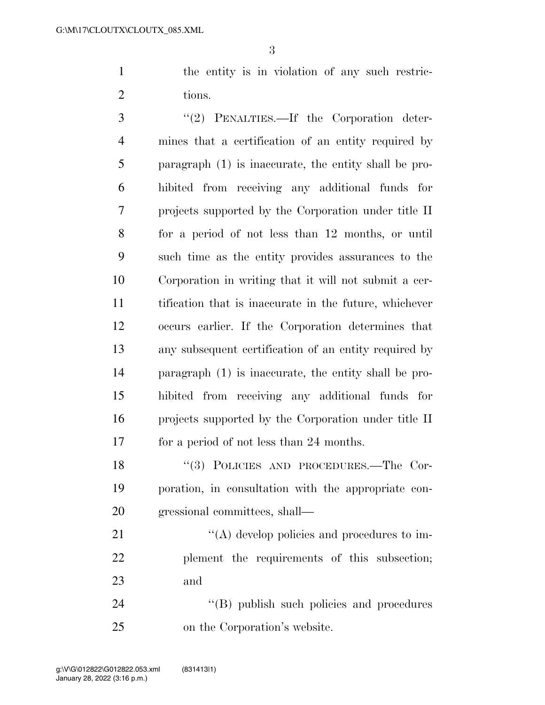the entity is in violation of any such restric-2 tions.

3 "(2) PENALTIES.—If the Corporation deter- mines that a certification of an entity required by paragraph (1) is inaccurate, the entity shall be pro- hibited from receiving any additional funds for projects supported by the Corporation under title II for a period of not less than 12 months, or until such time as the entity provides assurances to the Corporation in writing that it will not submit a cer- tification that is inaccurate in the future, whichever occurs earlier. If the Corporation determines that any subsequent certification of an entity required by paragraph (1) is inaccurate, the entity shall be pro- hibited from receiving any additional funds for projects supported by the Corporation under title II for a period of not less than 24 months.

18 "(3) POLICIES AND PROCEDURES.—The Cor- poration, in consultation with the appropriate con-gressional committees, shall—

21  $\langle (A) \rangle$  develop policies and procedures to im- plement the requirements of this subsection; and

24 "(B) publish such policies and procedures on the Corporation's website.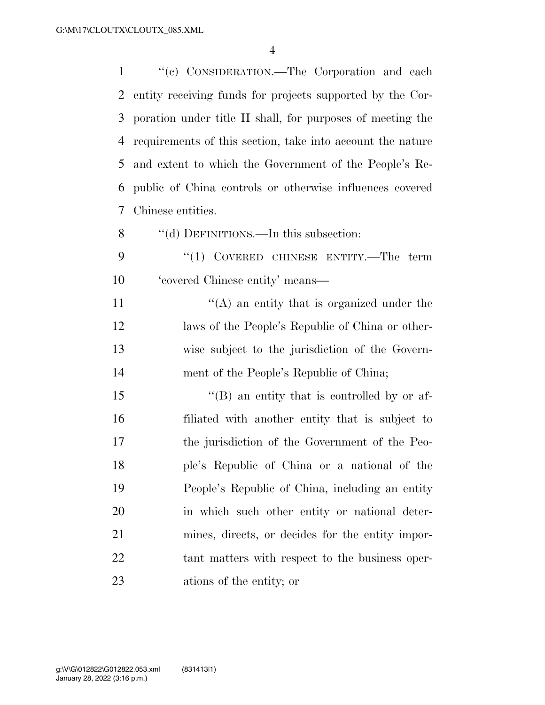''(c) CONSIDERATION.—The Corporation and each entity receiving funds for projects supported by the Cor- poration under title II shall, for purposes of meeting the requirements of this section, take into account the nature and extent to which the Government of the People's Re- public of China controls or otherwise influences covered Chinese entities.

- 8 "(d) DEFINITIONS.—In this subsection:
- 9 "(1) COVERED CHINESE ENTITY.—The term 'covered Chinese entity' means—

 $((A)$  an entity that is organized under the laws of the People's Republic of China or other- wise subject to the jurisdiction of the Govern-ment of the People's Republic of China;

15 "(B) an entity that is controlled by or af- filiated with another entity that is subject to the jurisdiction of the Government of the Peo- ple's Republic of China or a national of the People's Republic of China, including an entity in which such other entity or national deter- mines, directs, or decides for the entity impor- tant matters with respect to the business oper-ations of the entity; or